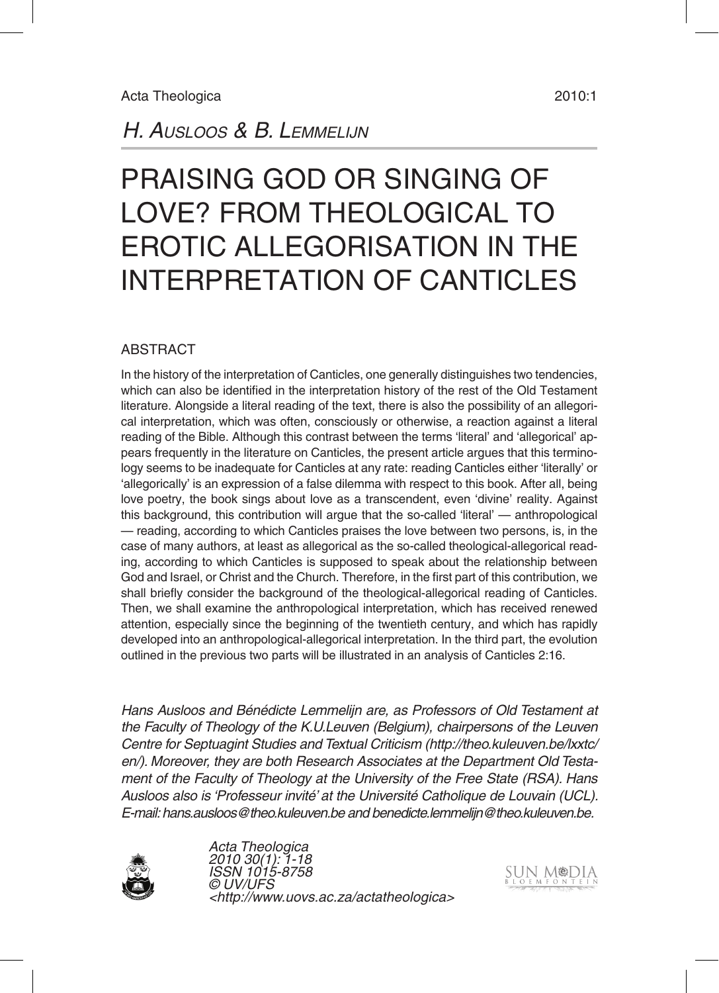## *H. Ausloos & B. Lemmelijn*

# Praising God or Singing of Love? From Theological to Erotic Allegorisation in the Interpretation of Canticles

### ABSTRACT

In the history of the interpretation of Canticles, one generally distinguishes two tendencies, which can also be identified in the interpretation history of the rest of the Old Testament literature. Alongside a literal reading of the text, there is also the possibility of an allegorical interpretation, which was often, consciously or otherwise, a reaction against a literal reading of the Bible. Although this contrast between the terms 'literal' and 'allegorical' appears frequently in the literature on Canticles, the present article argues that this terminology seems to be inadequate for Canticles at any rate: reading Canticles either 'literally' or 'allegorically' is an expression of a false dilemma with respect to this book. After all, being love poetry, the book sings about love as a transcendent, even 'divine' reality. Against this background, this contribution will argue that the so-called 'literal' — anthropological — reading, according to which Canticles praises the love between two persons, is, in the case of many authors, at least as allegorical as the so-called theological-allegorical reading, according to which Canticles is supposed to speak about the relationship between God and Israel, or Christ and the Church. Therefore, in the first part of this contribution, we shall briefly consider the background of the theological-allegorical reading of Canticles. Then, we shall examine the anthropological interpretation, which has received renewed attention, especially since the beginning of the twentieth century, and which has rapidly developed into an anthropological-allegorical interpretation. In the third part, the evolution outlined in the previous two parts will be illustrated in an analysis of Canticles 2:16.

*Hans Ausloos and Bénédicte Lemmelijn are, as Professors of Old Testament at the Faculty of Theology of the K.U.Leuven (Belgium), chairpersons of the Leuven Centre for Septuagint Studies and Textual Criticism (http://theo.kuleuven.be/lxxtc/ en/). Moreover, they are both Research Associates at the Department Old Testament of the Faculty of Theology at the University of the Free State (RSA). Hans Ausloos also is 'Professeur invité' at the Université Catholique de Louvain (UCL). E-mail: hans.ausloos@theo.kuleuven.be and benedicte.lemmelijn@theo.kuleuven.be.*



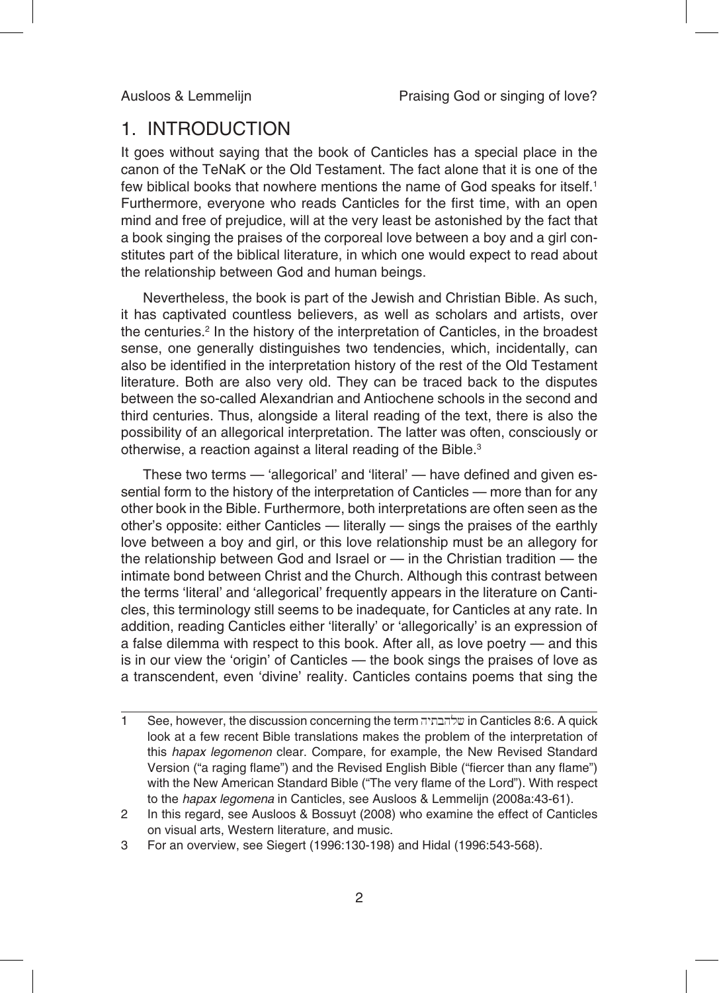### 1. Introduction

It goes without saying that the book of Canticles has a special place in the canon of the TeNaK or the Old Testament. The fact alone that it is one of the few biblical books that nowhere mentions the name of God speaks for itself.<sup>1</sup> Furthermore, everyone who reads Canticles for the first time, with an open mind and free of prejudice, will at the very least be astonished by the fact that a book singing the praises of the corporeal love between a boy and a girl constitutes part of the biblical literature, in which one would expect to read about the relationship between God and human beings.

Nevertheless, the book is part of the Jewish and Christian Bible. As such, it has captivated countless believers, as well as scholars and artists, over the centuries.<sup>2</sup> In the history of the interpretation of Canticles, in the broadest sense, one generally distinguishes two tendencies, which, incidentally, can also be identified in the interpretation history of the rest of the Old Testament literature. Both are also very old. They can be traced back to the disputes between the so-called Alexandrian and Antiochene schools in the second and third centuries. Thus, alongside a literal reading of the text, there is also the possibility of an allegorical interpretation. The latter was often, consciously or otherwise, a reaction against a literal reading of the Bible.3

These two terms — 'allegorical' and 'literal' — have defined and given essential form to the history of the interpretation of Canticles — more than for any other book in the Bible. Furthermore, both interpretations are often seen as the other's opposite: either Canticles — literally — sings the praises of the earthly love between a boy and girl, or this love relationship must be an allegory for the relationship between God and Israel or — in the Christian tradition — the intimate bond between Christ and the Church. Although this contrast between the terms 'literal' and 'allegorical' frequently appears in the literature on Canticles, this terminology still seems to be inadequate, for Canticles at any rate. In addition, reading Canticles either 'literally' or 'allegorically' is an expression of a false dilemma with respect to this book. After all, as love poetry — and this is in our view the 'origin' of Canticles — the book sings the praises of love as a transcendent, even 'divine' reality. Canticles contains poems that sing the

3 For an overview, see Siegert (1996:130-198) and Hidal (1996:543-568).

<sup>1</sup> See, however, the discussion concerning the term hytbhlç in Canticles 8:6. A quick look at a few recent Bible translations makes the problem of the interpretation of this *hapax legomenon* clear. Compare, for example, the New Revised Standard Version ("a raging flame") and the Revised English Bible ("fiercer than any flame") with the New American Standard Bible ("The very flame of the Lord"). With respect to the *hapax legomena* in Canticles, see Ausloos & Lemmelijn (2008a:43-61).

<sup>2</sup> In this regard, see Ausloos & Bossuyt (2008) who examine the effect of Canticles on visual arts, Western literature, and music.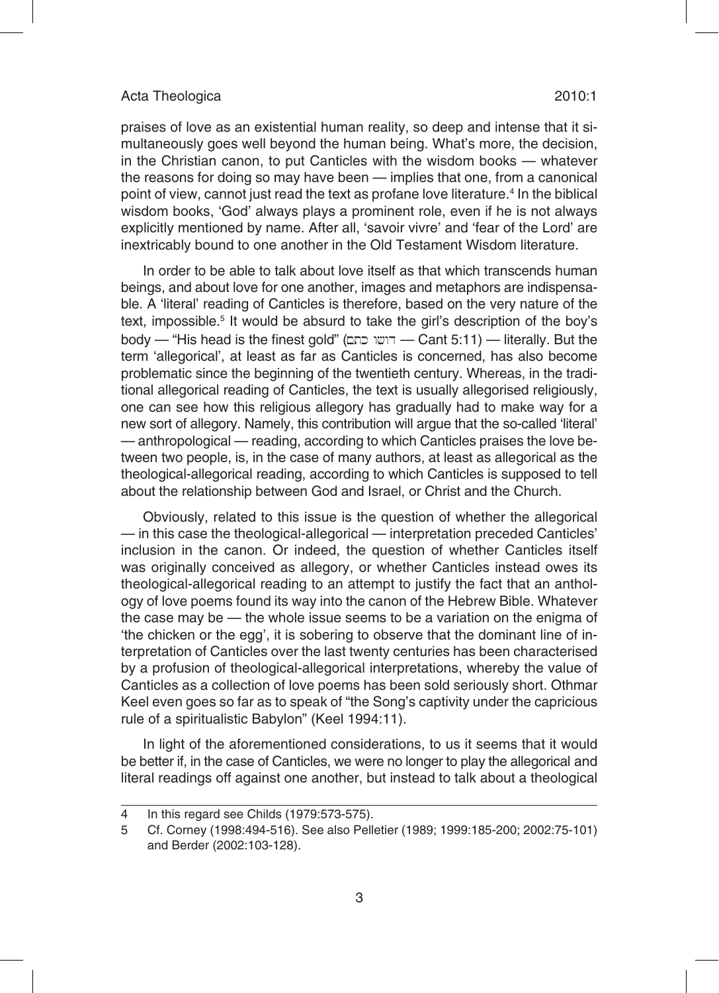praises of love as an existential human reality, so deep and intense that it simultaneously goes well beyond the human being. What's more, the decision, in the Christian canon, to put Canticles with the wisdom books — whatever the reasons for doing so may have been — implies that one, from a canonical point of view, cannot just read the text as profane love literature.4 In the biblical wisdom books, 'God' always plays a prominent role, even if he is not always explicitly mentioned by name. After all, 'savoir vivre' and 'fear of the Lord' are inextricably bound to one another in the Old Testament Wisdom literature.

In order to be able to talk about love itself as that which transcends human beings, and about love for one another, images and metaphors are indispensable. A 'literal' reading of Canticles is therefore, based on the very nature of the text, impossible.<sup>5</sup> It would be absurd to take the girl's description of the boy's body — "His head is the finest gold" (µtk wçwd — Cant 5:11) — literally. But the term 'allegorical', at least as far as Canticles is concerned, has also become problematic since the beginning of the twentieth century. Whereas, in the traditional allegorical reading of Canticles, the text is usually allegorised religiously, one can see how this religious allegory has gradually had to make way for a new sort of allegory. Namely, this contribution will argue that the so-called 'literal' — anthropological — reading, according to which Canticles praises the love between two people, is, in the case of many authors, at least as allegorical as the theological-allegorical reading, according to which Canticles is supposed to tell about the relationship between God and Israel, or Christ and the Church.

Obviously, related to this issue is the question of whether the allegorical — in this case the theological-allegorical — interpretation preceded Canticles' inclusion in the canon. Or indeed, the question of whether Canticles itself was originally conceived as allegory, or whether Canticles instead owes its theological-allegorical reading to an attempt to justify the fact that an anthology of love poems found its way into the canon of the Hebrew Bible. Whatever the case may be — the whole issue seems to be a variation on the enigma of 'the chicken or the egg', it is sobering to observe that the dominant line of interpretation of Canticles over the last twenty centuries has been characterised by a profusion of theological-allegorical interpretations, whereby the value of Canticles as a collection of love poems has been sold seriously short. Othmar Keel even goes so far as to speak of "the Song's captivity under the capricious rule of a spiritualistic Babylon" (Keel 1994:11).

In light of the aforementioned considerations, to us it seems that it would be better if, in the case of Canticles, we were no longer to play the allegorical and literal readings off against one another, but instead to talk about a theological

<sup>4</sup> In this regard see Childs (1979:573-575).

<sup>5</sup> Cf. Corney (1998:494-516). See also Pelletier (1989; 1999:185200; 2002:75101) and Berder (2002:103-128).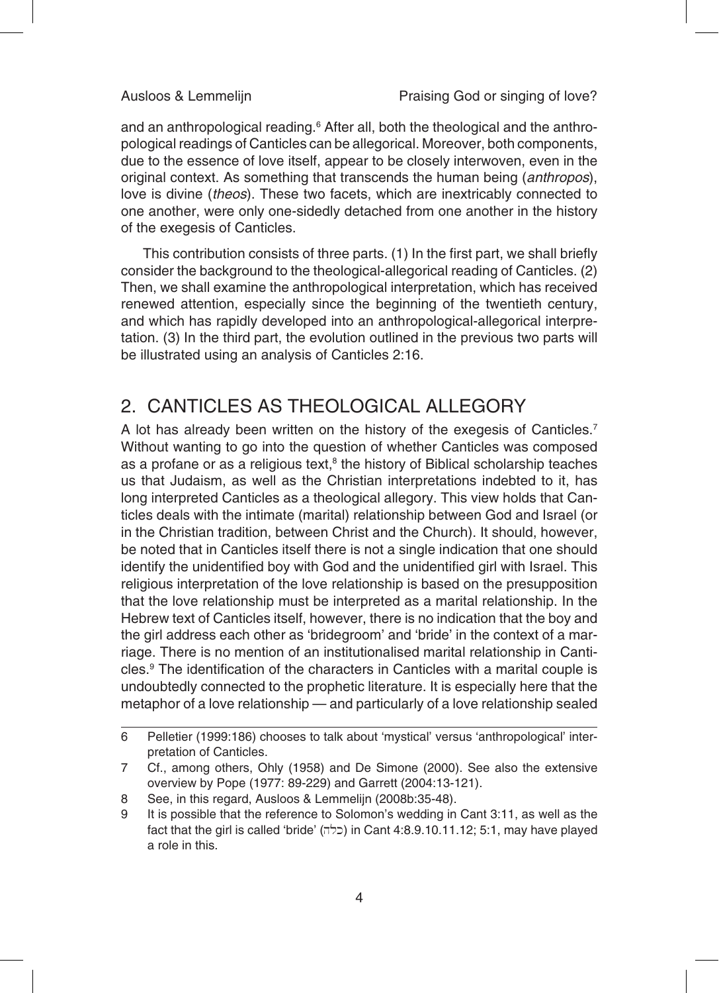and an anthropological reading.<sup>6</sup> After all, both the theological and the anthropological readings of Canticles can be allegorical. Moreover, both components, due to the essence of love itself, appear to be closely interwoven, even in the original context. As something that transcends the human being (*anthropos*), love is divine (*theos*). These two facets, which are inextricably connected to one another, were only one-sidedly detached from one another in the history of the exegesis of Canticles.

This contribution consists of three parts. (1) In the first part, we shall briefly consider the background to the theological-allegorical reading of Canticles. (2) Then, we shall examine the anthropological interpretation, which has received renewed attention, especially since the beginning of the twentieth century, and which has rapidly developed into an anthropological-allegorical interpretation. (3) In the third part, the evolution outlined in the previous two parts will be illustrated using an analysis of Canticles 2:16.

### 2. CANTICLES AS THEOLOGICAL ALLEGORY

A lot has already been written on the history of the exegesis of Canticles.<sup>7</sup> Without wanting to go into the question of whether Canticles was composed as a profane or as a religious text,<sup>8</sup> the history of Biblical scholarship teaches us that Judaism, as well as the Christian interpretations indebted to it, has long interpreted Canticles as a theological allegory. This view holds that Canticles deals with the intimate (marital) relationship between God and Israel (or in the Christian tradition, between Christ and the Church). It should, however, be noted that in Canticles itself there is not a single indication that one should identify the unidentified boy with God and the unidentified girl with Israel. This religious interpretation of the love relationship is based on the presupposition that the love relationship must be interpreted as a marital relationship. In the Hebrew text of Canticles itself, however, there is no indication that the boy and the girl address each other as 'bridegroom' and 'bride' in the context of a marriage. There is no mention of an institutionalised marital relationship in Canticles.9 The identification of the characters in Canticles with a marital couple is undoubtedly connected to the prophetic literature. It is especially here that the metaphor of a love relationship — and particularly of a love relationship sealed

8 See, in this regard, Ausloos & Lemmelijn (2008b:3548).

<sup>6</sup> Pelletier (1999:186) chooses to talk about 'mystical' versus 'anthropological' interpretation of Canticles.

<sup>7</sup> Cf., among others, Ohly (1958) and De Simone (2000). See also the extensive overview by Pope (1977: 89-229) and Garrett (2004:13-121).

<sup>9</sup> It is possible that the reference to Solomon's wedding in Cant 3:11, as well as the fact that the girl is called 'bride' (כלה) in Cant 4:8.9.10.11.12; 5:1, may have played a role in this.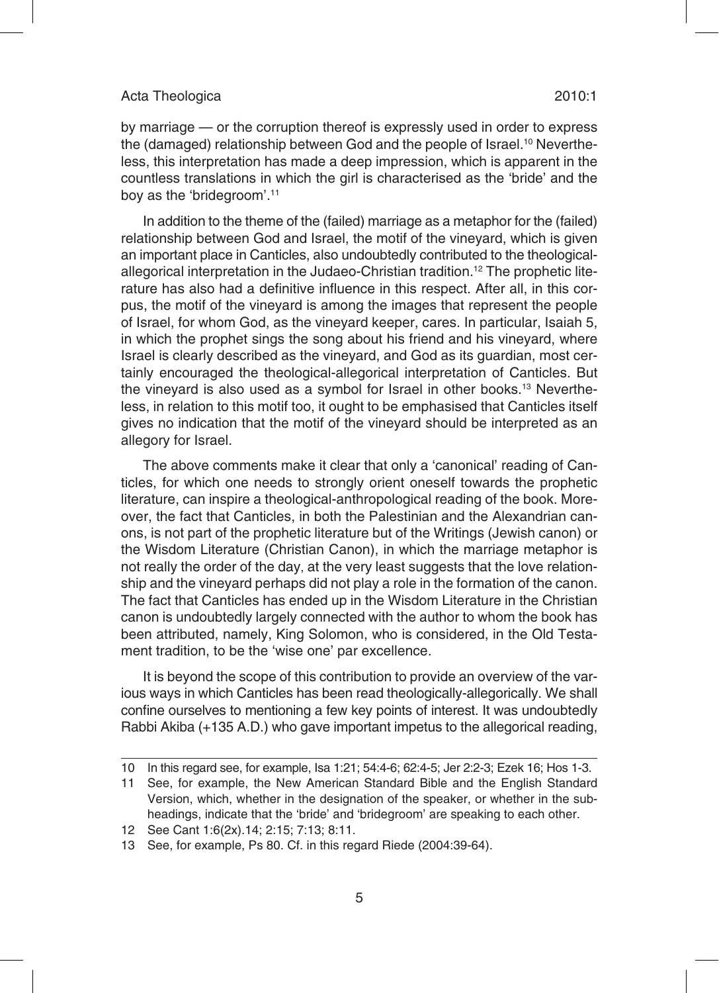by marriage — or the corruption thereof is expressly used in order to express the (damaged) relationship between God and the people of Israel.10 Nevertheless, this interpretation has made a deep impression, which is apparent in the countless translations in which the girl is characterised as the 'bride' and the boy as the 'bridegroom'.11

In addition to the theme of the (failed) marriage as a metaphor for the (failed) relationship between God and Israel, the motif of the vineyard, which is given an important place in Canticles, also undoubtedly contributed to the theologicalallegorical interpretation in the Judaeo-Christian tradition.12 The prophetic literature has also had a definitive influence in this respect. After all, in this corpus, the motif of the vineyard is among the images that represent the people of Israel, for whom God, as the vineyard keeper, cares. In particular, Isaiah 5, in which the prophet sings the song about his friend and his vineyard, where Israel is clearly described as the vineyard, and God as its guardian, most certainly encouraged the theological-allegorical interpretation of Canticles. But the vineyard is also used as a symbol for Israel in other books.13 Nevertheless, in relation to this motif too, it ought to be emphasised that Canticles itself gives no indication that the motif of the vineyard should be interpreted as an allegory for Israel.

The above comments make it clear that only a 'canonical' reading of Canticles, for which one needs to strongly orient oneself towards the prophetic literature, can inspire a theological-anthropological reading of the book. Moreover, the fact that Canticles, in both the Palestinian and the Alexandrian canons, is not part of the prophetic literature but of the Writings (Jewish canon) or the Wisdom Literature (Christian Canon), in which the marriage metaphor is not really the order of the day, at the very least suggests that the love relationship and the vineyard perhaps did not play a role in the formation of the canon. The fact that Canticles has ended up in the Wisdom Literature in the Christian canon is undoubtedly largely connected with the author to whom the book has been attributed, namely, King Solomon, who is considered, in the Old Testament tradition, to be the 'wise one' par excellence.

It is beyond the scope of this contribution to provide an overview of the various ways in which Canticles has been read theologically-allegorically. We shall confine ourselves to mentioning a few key points of interest. It was undoubtedly Rabbi Akiba (+135 A.D.) who gave important impetus to the allegorical reading,

<sup>10</sup> In this regard see, for example, Isa 1:21; 54:46; 62:45; Jer 2:23; Ezek 16; Hos 1-3.

<sup>11</sup> See, for example, the New American Standard Bible and the English Standard Version, which, whether in the designation of the speaker, or whether in the subheadings, indicate that the 'bride' and 'bridegroom' are speaking to each other.

<sup>12</sup> See Cant 1:6(2x).14; 2:15; 7:13; 8:11.

<sup>13</sup> See, for example, Ps 80. Cf. in this regard Riede (2004:39-64).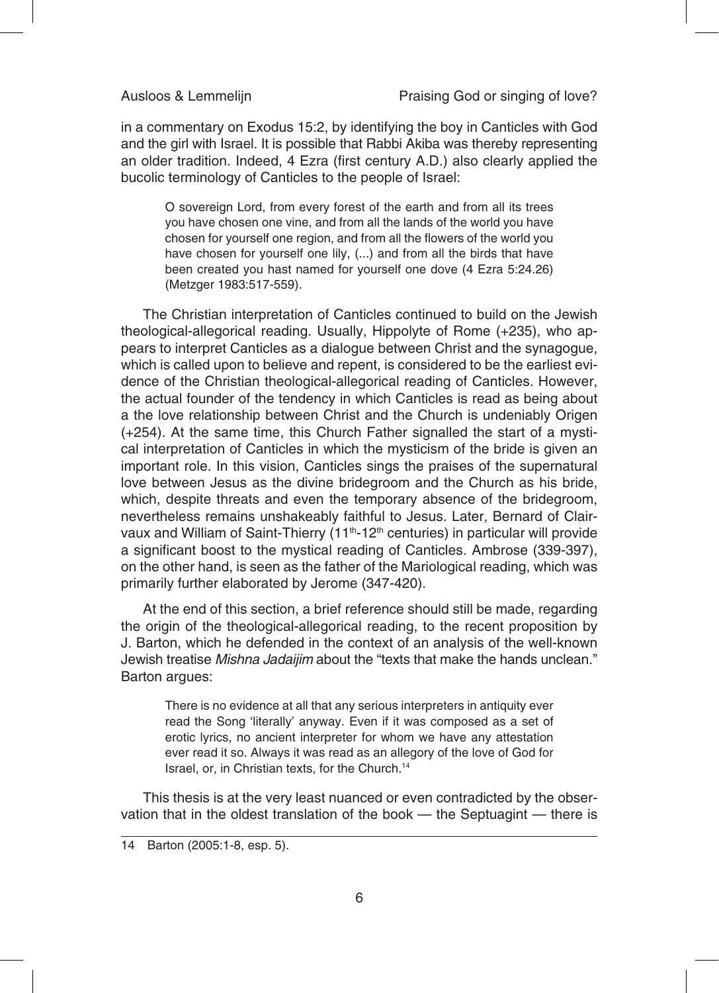in a commentary on Exodus 15:2, by identifying the boy in Canticles with God and the girl with Israel. It is possible that Rabbi Akiba was thereby representing an older tradition. Indeed, 4 Ezra (first century A.D.) also clearly applied the bucolic terminology of Canticles to the people of Israel:

O sovereign Lord, from every forest of the earth and from all its trees you have chosen one vine, and from all the lands of the world you have chosen for yourself one region, and from all the flowers of the world you have chosen for yourself one lily, (...) and from all the birds that have been created you hast named for yourself one dove (4 Ezra 5:24.26) (Metzger 1983:517-559).

The Christian interpretation of Canticles continued to build on the Jewish theological-allegorical reading. Usually, Hippolyte of Rome (+235), who appears to interpret Canticles as a dialogue between Christ and the synagogue, which is called upon to believe and repent, is considered to be the earliest evidence of the Christian theological-allegorical reading of Canticles. However, the actual founder of the tendency in which Canticles is read as being about a the love relationship between Christ and the Church is undeniably Origen (+254). At the same time, this Church Father signalled the start of a mystical interpretation of Canticles in which the mysticism of the bride is given an important role. In this vision, Canticles sings the praises of the supernatural love between Jesus as the divine bridegroom and the Church as his bride, which, despite threats and even the temporary absence of the bridegroom, nevertheless remains unshakeably faithful to Jesus. Later, Bernard of Clairvaux and William of Saint-Thierry (11<sup>th</sup>-12<sup>th</sup> centuries) in particular will provide a significant boost to the mystical reading of Canticles. Ambrose (339-397), on the other hand, is seen as the father of the Mariological reading, which was primarily further elaborated by Jerome (347-420).

At the end of this section, a brief reference should still be made, regarding the origin of the theological-allegorical reading, to the recent proposition by J. Barton, which he defended in the context of an analysis of the well-known Jewish treatise *Mishna Jadaijim* about the "texts that make the hands unclean." Barton argues:

There is no evidence at all that any serious interpreters in antiquity ever read the Song 'literally' anyway. Even if it was composed as a set of erotic lyrics, no ancient interpreter for whom we have any attestation ever read it so. Always it was read as an allegory of the love of God for Israel, or, in Christian texts, for the Church.14

This thesis is at the very least nuanced or even contradicted by the observation that in the oldest translation of the book — the Septuagint — there is

<sup>14</sup> Barton (2005:1-8, esp. 5).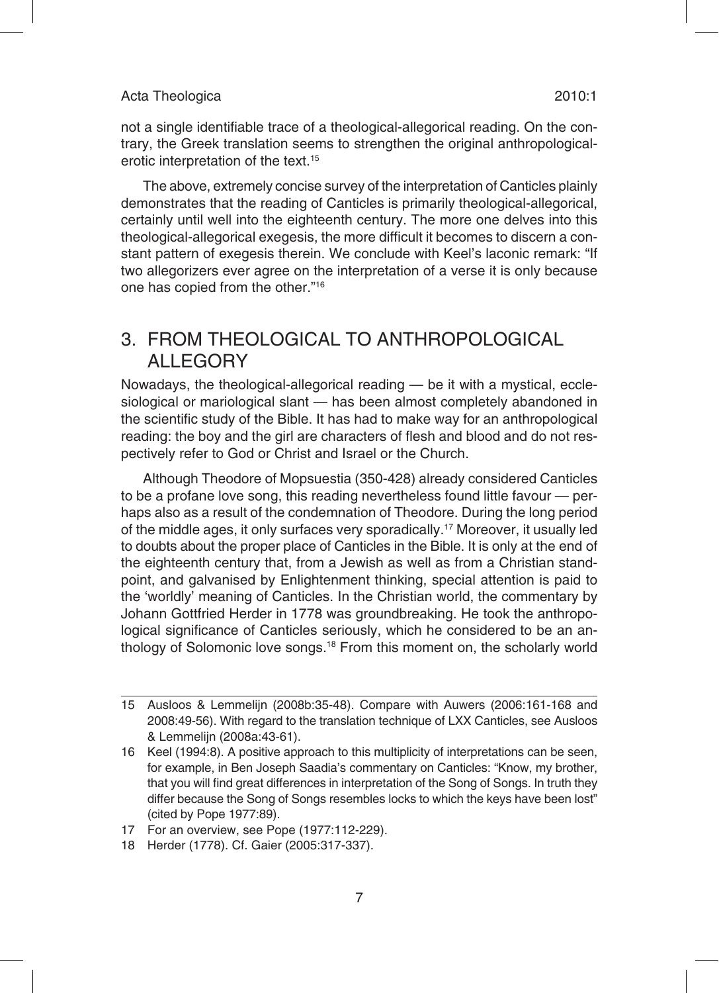not a single identifiable trace of a theological-allegorical reading. On the contrary, the Greek translation seems to strengthen the original anthropologicalerotic interpretation of the text.<sup>15</sup>

The above, extremely concise survey of the interpretation of Canticles plainly demonstrates that the reading of Canticles is primarily theological-allegorical, certainly until well into the eighteenth century. The more one delves into this theological-allegorical exegesis, the more difficult it becomes to discern a constant pattern of exegesis therein. We conclude with Keel's laconic remark: "If two allegorizers ever agree on the interpretation of a verse it is only because one has copied from the other."16

### 3. From Theological to Anthropological **ALLEGORY**

Nowadays, the theological-allegorical reading — be it with a mystical, ecclesiological or mariological slant — has been almost completely abandoned in the scientific study of the Bible. It has had to make way for an anthropological reading: the boy and the girl are characters of flesh and blood and do not respectively refer to God or Christ and Israel or the Church.

Although Theodore of Mopsuestia (350-428) already considered Canticles to be a profane love song, this reading nevertheless found little favour — perhaps also as a result of the condemnation of Theodore. During the long period of the middle ages, it only surfaces very sporadically.17 Moreover, it usually led to doubts about the proper place of Canticles in the Bible. It is only at the end of the eighteenth century that, from a Jewish as well as from a Christian standpoint, and galvanised by Enlightenment thinking, special attention is paid to the 'worldly' meaning of Canticles. In the Christian world, the commentary by Johann Gottfried Herder in 1778 was groundbreaking. He took the anthropological significance of Canticles seriously, which he considered to be an anthology of Solomonic love songs.18 From this moment on, the scholarly world

<sup>15</sup> Ausloos & Lemmelijn (2008b:3548). Compare with Auwers (2006:161168 and 2008:49-56). With regard to the translation technique of LXX Canticles, see Ausloos & Lemmelijn (2008a:43-61).

<sup>16</sup> Keel (1994:8). A positive approach to this multiplicity of interpretations can be seen, for example, in Ben Joseph Saadia's commentary on Canticles: "Know, my brother, that you will find great differences in interpretation of the Song of Songs. In truth they differ because the Song of Songs resembles locks to which the keys have been lost" (cited by Pope 1977:89).

<sup>17</sup> For an overview, see Pope (1977:112-229).

<sup>18</sup> Herder (1778). Cf. Gaier (2005:317-337).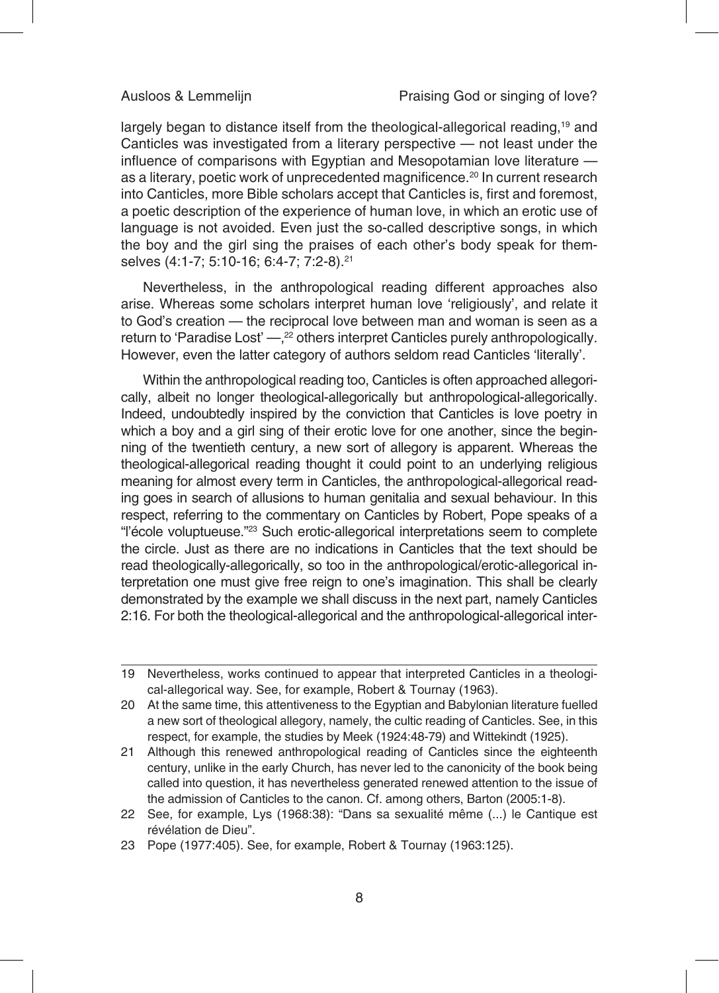largely began to distance itself from the theological-allegorical reading,<sup>19</sup> and Canticles was investigated from a literary perspective — not least under the influence of comparisons with Egyptian and Mesopotamian love literature as a literary, poetic work of unprecedented magnificence.<sup>20</sup> In current research into Canticles, more Bible scholars accept that Canticles is, first and foremost, a poetic description of the experience of human love, in which an erotic use of language is not avoided. Even just the so-called descriptive songs, in which the boy and the girl sing the praises of each other's body speak for themselves (4:1-7; 5:10-16; 6:4-7; 7:2-8).<sup>21</sup>

Nevertheless, in the anthropological reading different approaches also arise. Whereas some scholars interpret human love 'religiously', and relate it to God's creation — the reciprocal love between man and woman is seen as a return to 'Paradise Lost' —,<sup>22</sup> others interpret Canticles purely anthropologically. However, even the latter category of authors seldom read Canticles 'literally'.

Within the anthropological reading too, Canticles is often approached allegorically, albeit no longer theological-allegorically but anthropological-allegorically. Indeed, undoubtedly inspired by the conviction that Canticles is love poetry in which a boy and a girl sing of their erotic love for one another, since the beginning of the twentieth century, a new sort of allegory is apparent. Whereas the theological-allegorical reading thought it could point to an underlying religious meaning for almost every term in Canticles, the anthropological-allegorical reading goes in search of allusions to human genitalia and sexual behaviour. In this respect, referring to the commentary on Canticles by Robert, Pope speaks of a "l'école voluptueuse."23 Such erotic-allegorical interpretations seem to complete the circle. Just as there are no indications in Canticles that the text should be read theologically-allegorically, so too in the anthropological/erotic-allegorical interpretation one must give free reign to one's imagination. This shall be clearly demonstrated by the example we shall discuss in the next part, namely Canticles 2:16. For both the theological-allegorical and the anthropological-allegorical inter-

22 See, for example, Lys (1968:38): "Dans sa sexualité même (...) le Cantique est révélation de Dieu".

<sup>19</sup> Nevertheless, works continued to appear that interpreted Canticles in a theological-allegorical way. See, for example, Robert & Tournay (1963).

<sup>20</sup> At the same time, this attentiveness to the Egyptian and Babylonian literature fuelled a new sort of theological allegory, namely, the cultic reading of Canticles. See, in this respect, for example, the studies by Meek (1924:48-79) and Wittekindt (1925).

<sup>21</sup> Although this renewed anthropological reading of Canticles since the eighteenth century, unlike in the early Church, has never led to the canonicity of the book being called into question, it has nevertheless generated renewed attention to the issue of the admission of Canticles to the canon. Cf. among others, Barton (2005:1-8).

<sup>23</sup> Pope (1977:405). See, for example, Robert & Tournay (1963:125).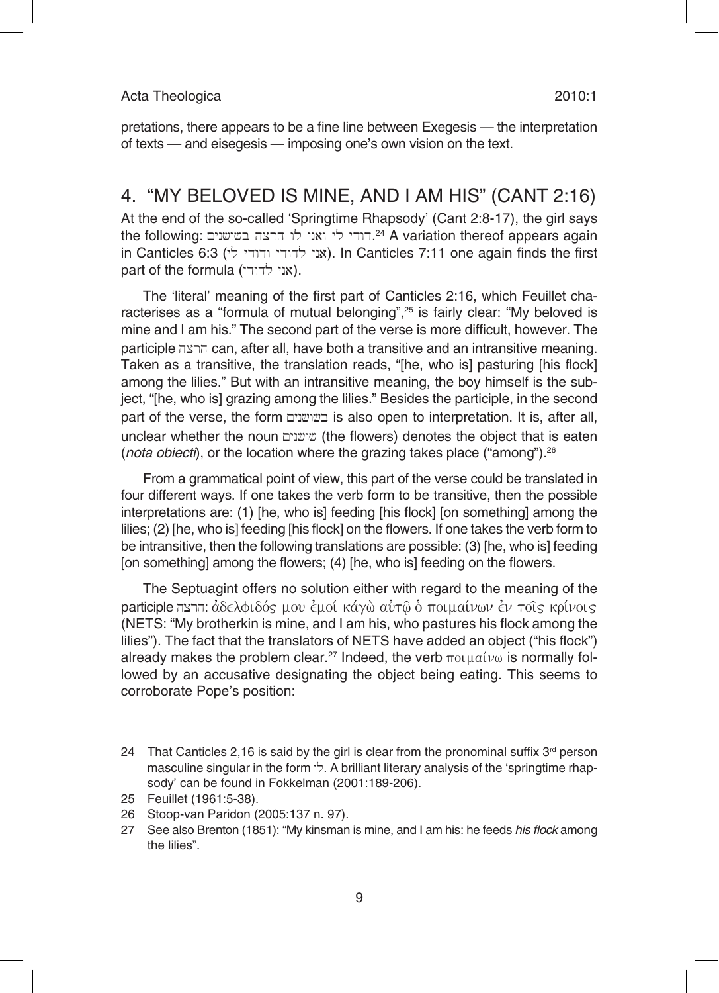pretations, there appears to be a fine line between Exegesis — the interpretation of texts — and eisegesis — imposing one's own vision on the text.

### 4. "My beloved is mine, and I am his" (Cant 2:16)

At the end of the so-called 'Springtime Rhapsody' (Cant 2:8-17), the girl says the following: דורי לי ואני לו הרצה בשושנים. $^{24}$  A variation thereof appears again in Canticles 6:3 (אני לדודי ודודי לי). In Canticles 7:11 one again finds the first part of the formula (אני לדודי).

The 'literal' meaning of the first part of Canticles 2:16, which Feuillet characterises as a "formula of mutual belonging",<sup>25</sup> is fairly clear: "My beloved is mine and I am his." The second part of the verse is more difficult, however. The participle hxrh can, after all, have both a transitive and an intransitive meaning. Taken as a transitive, the translation reads, "[he, who is] pasturing [his flock] among the lilies." But with an intransitive meaning, the boy himself is the subject, "[he, who is] grazing among the lilies." Besides the participle, in the second part of the verse, the form µynçwçb is also open to interpretation. It is, after all, unclear whether the noun שושנים (the flowers) denotes the object that is eaten (*nota obiecti*), or the location where the grazing takes place ("among").<sup>26</sup>

From a grammatical point of view, this part of the verse could be translated in four different ways. If one takes the verb form to be transitive, then the possible interpretations are: (1) [he, who is] feeding [his flock] [on something] among the lilies; (2) [he, who is] feeding [his flock] on the flowers. If one takes the verb form to be intransitive, then the following translations are possible: (3) [he, who is] feeding [on something] among the flowers; (4) [he, who is] feeding on the flowers.

The Septuagint offers no solution either with regard to the meaning of the participle بتحدة; dδελφιδός μου εμοί κάνὼ αὐτῶ ὁ ποιμαίνων εν τοις κρίνοις (NETS: "My brotherkin is mine, and I am his, who pastures his flock among the lilies"). The fact that the translators of NETS have added an object ("his flock") already makes the problem clear.<sup>27</sup> Indeed, the verb  $\pi$ ou  $\mu$ aiv $\omega$  is normally followed by an accusative designating the object being eating. This seems to corroborate Pope's position:

<sup>24</sup> That Canticles 2,16 is said by the girl is clear from the pronominal suffix  $3<sup>rd</sup>$  person masculine singular in the form ה $\pm$ . A brilliant literary analysis of the 'springtime rhapsody' can be found in Fokkelman (2001:189-206).

<sup>25</sup> Feuillet (1961:5-38).

<sup>26</sup> Stoop-van Paridon (2005:137 n. 97).

<sup>27</sup> See also Brenton (1851): "My kinsman is mine, and I am his: he feeds *his flock* among the lilies".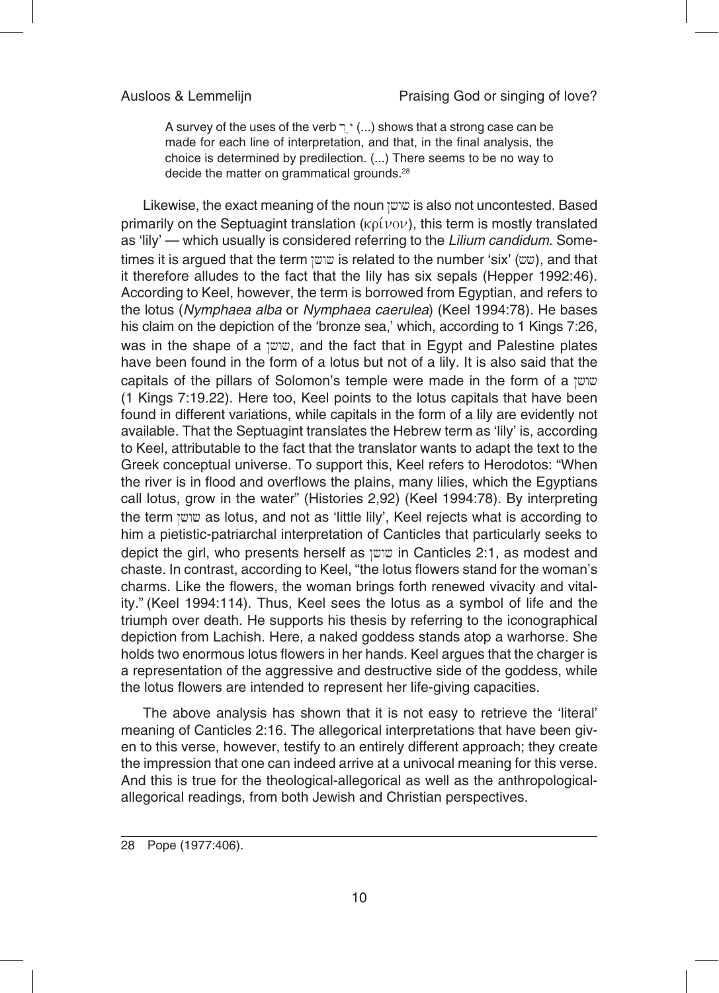A survey of the uses of the verb  $\cdot$  ' (...) shows that a strong case can be made for each line of interpretation, and that, in the final analysis, the choice is determined by predilection. (...) There seems to be no way to decide the matter on grammatical grounds.<sup>28</sup>

Likewise, the exact meaning of the noun ˜çwç is also not uncontested. Based primarily on the Septuagint translation ( $\kappa \rho \hat{\iota} \nu \partial \nu$ ), this term is mostly translated as 'lily' — which usually is considered referring to the *Lilium candidum*. Sometimes it is argued that the term  $\psi$  is related to the number 'six' ( $\psi$  $\psi$ ), and that it therefore alludes to the fact that the lily has six sepals (Hepper 1992:46). According to Keel, however, the term is borrowed from Egyptian, and refers to the lotus (*Nymphaea alba* or *Nymphaea caerulea*) (Keel 1994:78). He bases his claim on the depiction of the 'bronze sea,' which, according to 1 Kings 7:26, was in the shape of a שושן, and the fact that in Egypt and Palestine plates have been found in the form of a lotus but not of a lily. It is also said that the capitals of the pillars of Solomon's temple were made in the form of a עושו (1 Kings 7:19.22). Here too, Keel points to the lotus capitals that have been found in different variations, while capitals in the form of a lily are evidently not available. That the Septuagint translates the Hebrew term as 'lily' is, according to Keel, attributable to the fact that the translator wants to adapt the text to the Greek conceptual universe. To support this, Keel refers to Herodotos: "When the river is in flood and overflows the plains, many lilies, which the Egyptians call lotus, grow in the water" (Histories 2,92) (Keel 1994:78). By interpreting the term שושן as lotus, and not as 'little lily', Keel rejects what is according to him a pietistic-patriarchal interpretation of Canticles that particularly seeks to depict the girl, who presents herself as שושו in Canticles 2:1, as modest and chaste. In contrast, according to Keel, "the lotus flowers stand for the woman's charms. Like the flowers, the woman brings forth renewed vivacity and vitality." (Keel 1994:114). Thus, Keel sees the lotus as a symbol of life and the triumph over death. He supports his thesis by referring to the iconographical depiction from Lachish. Here, a naked goddess stands atop a warhorse. She holds two enormous lotus flowers in her hands. Keel argues that the charger is a representation of the aggressive and destructive side of the goddess, while the lotus flowers are intended to represent her life-giving capacities.

The above analysis has shown that it is not easy to retrieve the 'literal' meaning of Canticles 2:16. The allegorical interpretations that have been given to this verse, however, testify to an entirely different approach; they create the impression that one can indeed arrive at a univocal meaning for this verse. And this is true for the theological-allegorical as well as the anthropologicalallegorical readings, from both Jewish and Christian perspectives.

<sup>28</sup> Pope (1977:406).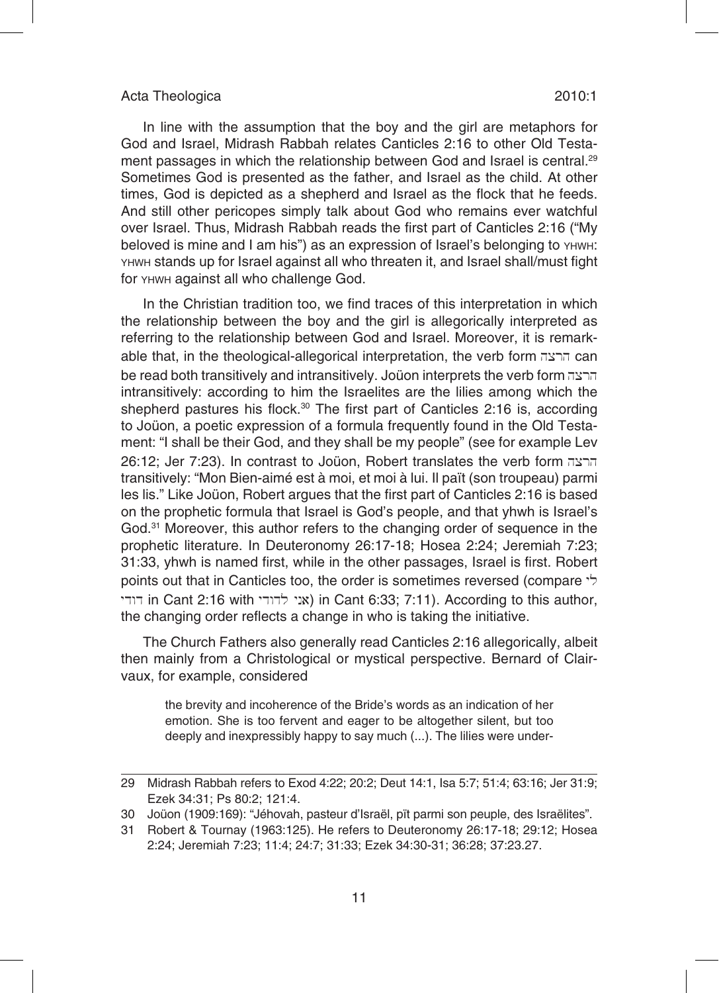In line with the assumption that the boy and the girl are metaphors for God and Israel, Midrash Rabbah relates Canticles 2:16 to other Old Testament passages in which the relationship between God and Israel is central.<sup>29</sup> Sometimes God is presented as the father, and Israel as the child. At other times, God is depicted as a shepherd and Israel as the flock that he feeds. And still other pericopes simply talk about God who remains ever watchful over Israel. Thus, Midrash Rabbah reads the first part of Canticles 2:16 ("My beloved is mine and I am his") as an expression of Israel's belonging to yhwh: yhwh stands up for Israel against all who threaten it, and Israel shall/must fight for yhwh against all who challenge God.

In the Christian tradition too, we find traces of this interpretation in which the relationship between the boy and the girl is allegorically interpreted as referring to the relationship between God and Israel. Moreover, it is remarkable that, in the theological-allegorical interpretation, the verb form הרצה can be read both transitively and intransitively. Joüon interprets the verb form intransitively: according to him the Israelites are the lilies among which the shepherd pastures his flock.<sup>30</sup> The first part of Canticles 2:16 is, according to Joüon, a poetic expression of a formula frequently found in the Old Testament: "I shall be their God, and they shall be my people" (see for example Lev 26:12; Jer 7:23). In contrast to Joüon, Robert translates the verb form transitively: "Mon Bien-aimé est à moi, et moi à lui. Il paït (son troupeau) parmi les lis." Like Joüon, Robert argues that the first part of Canticles 2:16 is based on the prophetic formula that Israel is God's people, and that yhwh is Israel's God.31 Moreover, this author refers to the changing order of sequence in the prophetic literature. In Deuteronomy 26:17-18; Hosea 2:24; Jeremiah 7:23; 31:33, yhwh is named first, while in the other passages, Israel is first. Robert points out that in Canticles too, the order is sometimes reversed (compare  $\dot{\phi}$ ) דודי in Cant 2:16 with אני לדודי) in Cant 6:33; 7:11). According to this author, the changing order reflects a change in who is taking the initiative.

The Church Fathers also generally read Canticles 2:16 allegorically, albeit then mainly from a Christological or mystical perspective. Bernard of Clairvaux, for example, considered

the brevity and incoherence of the Bride's words as an indication of her emotion. She is too fervent and eager to be altogether silent, but too deeply and inexpressibly happy to say much (...). The lilies were under-

<sup>29</sup> Midrash Rabbah refers to Exod 4:22; 20:2; Deut 14:1, Isa 5:7; 51:4; 63:16; Jer 31:9; Ezek 34:31; Ps 80:2; 121:4.

<sup>30</sup> Joüon (1909:169): "Jéhovah, pasteur d'Israël, pït parmi son peuple, des Israëlites".

<sup>31</sup> Robert & Tournay (1963:125). He refers to Deuteronomy 26:17-18; 29:12; Hosea 2:24; Jeremiah 7:23; 11:4; 24:7; 31:33; Ezek 34:30-31; 36:28; 37:23.27.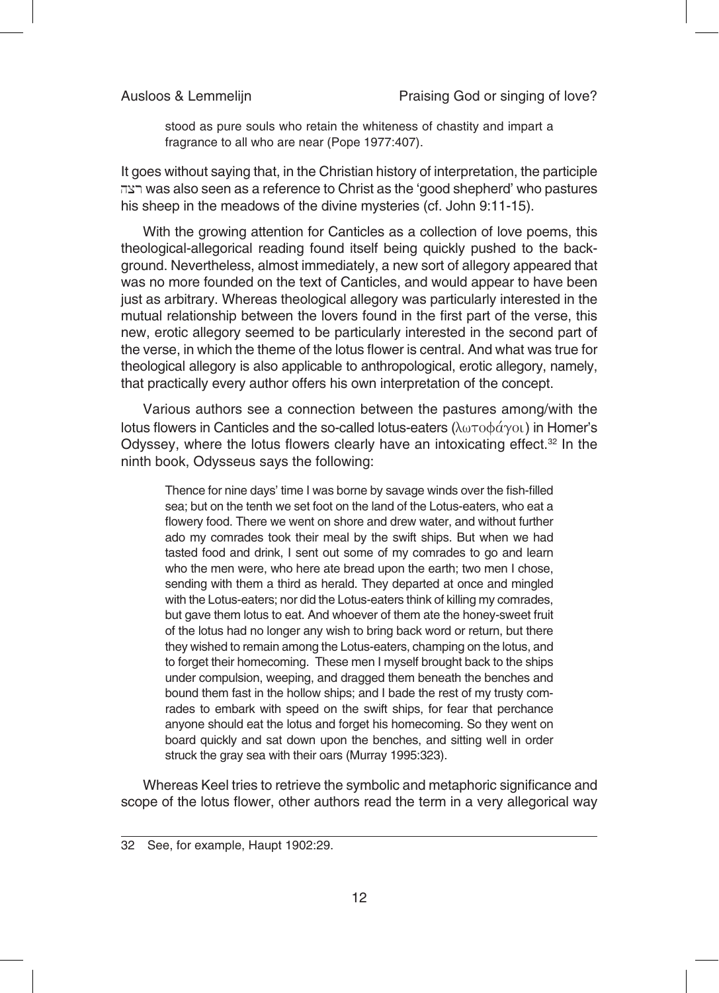stood as pure souls who retain the whiteness of chastity and impart a fragrance to all who are near (Pope 1977:407).

It goes without saying that, in the Christian history of interpretation, the participle hxr was also seen as a reference to Christ as the 'good shepherd' who pastures his sheep in the meadows of the divine mysteries (cf. John 9:11-15).

With the growing attention for Canticles as a collection of love poems, this theological-allegorical reading found itself being quickly pushed to the background. Nevertheless, almost immediately, a new sort of allegory appeared that was no more founded on the text of Canticles, and would appear to have been just as arbitrary. Whereas theological allegory was particularly interested in the mutual relationship between the lovers found in the first part of the verse, this new, erotic allegory seemed to be particularly interested in the second part of the verse, in which the theme of the lotus flower is central. And what was true for theological allegory is also applicable to anthropological, erotic allegory, namely, that practically every author offers his own interpretation of the concept.

Various authors see a connection between the pastures among/with the lotus flowers in Canticles and the so-called lotus-eaters  $(\lambda \omega \tau o \phi \acute{\alpha} \gamma o \iota)$  in Homer's Odyssey, where the lotus flowers clearly have an intoxicating effect.<sup>32</sup> In the ninth book, Odysseus says the following:

Thence for nine days' time I was borne by savage winds over the fish-filled sea; but on the tenth we set foot on the land of the Lotus-eaters, who eat a flowery food. There we went on shore and drew water, and without further ado my comrades took their meal by the swift ships. But when we had tasted food and drink, I sent out some of my comrades to go and learn who the men were, who here ate bread upon the earth; two men I chose, sending with them a third as herald. They departed at once and mingled with the Lotus-eaters; nor did the Lotus-eaters think of killing my comrades, but gave them lotus to eat. And whoever of them ate the honey-sweet fruit of the lotus had no longer any wish to bring back word or return, but there they wished to remain among the Lotus-eaters, champing on the lotus, and to forget their homecoming. These men I myself brought back to the ships under compulsion, weeping, and dragged them beneath the benches and bound them fast in the hollow ships; and I bade the rest of my trusty comrades to embark with speed on the swift ships, for fear that perchance anyone should eat the lotus and forget his homecoming. So they went on board quickly and sat down upon the benches, and sitting well in order struck the gray sea with their oars (Murray 1995:323).

Whereas Keel tries to retrieve the symbolic and metaphoric significance and scope of the lotus flower, other authors read the term in a very allegorical way

<sup>32</sup> See, for example, Haupt 1902:29.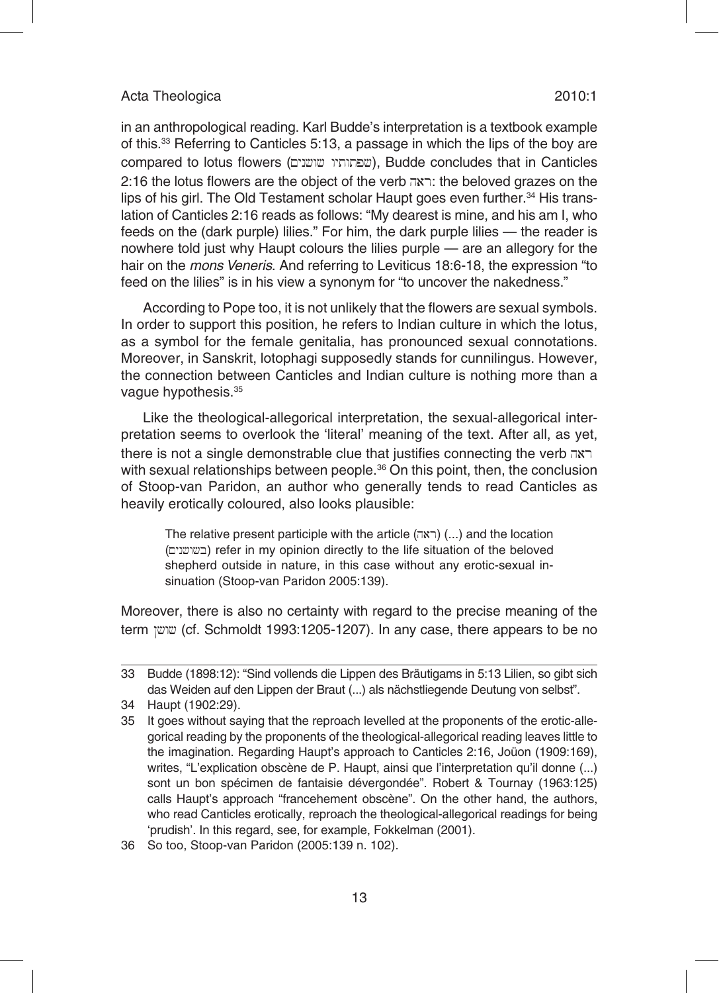in an anthropological reading. Karl Budde's interpretation is a textbook example of this.33 Referring to Canticles 5:13, a passage in which the lips of the boy are compared to lotus flowers (µynçwç wytwtpç), Budde concludes that in Canticles 2:16 the lotus flowers are the object of the verb har: the beloved grazes on the lips of his girl. The Old Testament scholar Haupt goes even further.<sup>34</sup> His translation of Canticles 2:16 reads as follows: "My dearest is mine, and his am I, who feeds on the (dark purple) lilies." For him, the dark purple lilies — the reader is nowhere told just why Haupt colours the lilies purple — are an allegory for the hair on the *mons Veneris*. And referring to Leviticus 18:6-18, the expression "to feed on the lilies" is in his view a synonym for "to uncover the nakedness."

According to Pope too, it is not unlikely that the flowers are sexual symbols. In order to support this position, he refers to Indian culture in which the lotus, as a symbol for the female genitalia, has pronounced sexual connotations. Moreover, in Sanskrit, lotophagi supposedly stands for cunnilingus. However, the connection between Canticles and Indian culture is nothing more than a vague hypothesis.35

Like the theological-allegorical interpretation, the sexual-allegorical interpretation seems to overlook the 'literal' meaning of the text. After all, as yet, there is not a single demonstrable clue that justifies connecting the verb ראה with sexual relationships between people.<sup>36</sup> On this point, then, the conclusion of Stoop-van Paridon, an author who generally tends to read Canticles as heavily erotically coloured, also looks plausible:

The relative present participle with the article  $(\ldots)$  and the location (µynçwçb) refer in my opinion directly to the life situation of the beloved shepherd outside in nature, in this case without any erotic-sexual insinuation (Stoop-van Paridon 2005:139).

Moreover, there is also no certainty with regard to the precise meaning of the term שושן (cf. Schmoldt 1993:1205-1207). In any case, there appears to be no

<sup>33</sup> Budde (1898:12): "Sind vollends die Lippen des Bräutigams in 5:13 Lilien, so gibt sich das Weiden auf den Lippen der Braut (...) als nächstliegende Deutung von selbst".

<sup>34</sup> Haupt (1902:29).

<sup>35</sup> It goes without saying that the reproach levelled at the proponents of the erotic-allegorical reading by the proponents of the theological-allegorical reading leaves little to the imagination. Regarding Haupt's approach to Canticles 2:16, Joüon (1909:169), writes, "L'explication obscène de P. Haupt, ainsi que l'interpretation qu'il donne (...) sont un bon spécimen de fantaisie dévergondée". Robert & Tournay (1963:125) calls Haupt's approach "francehement obscène". On the other hand, the authors, who read Canticles erotically, reproach the theological-allegorical readings for being 'prudish'. In this regard, see, for example, Fokkelman (2001).

<sup>36</sup> So too, Stoop-van Paridon (2005:139 n. 102).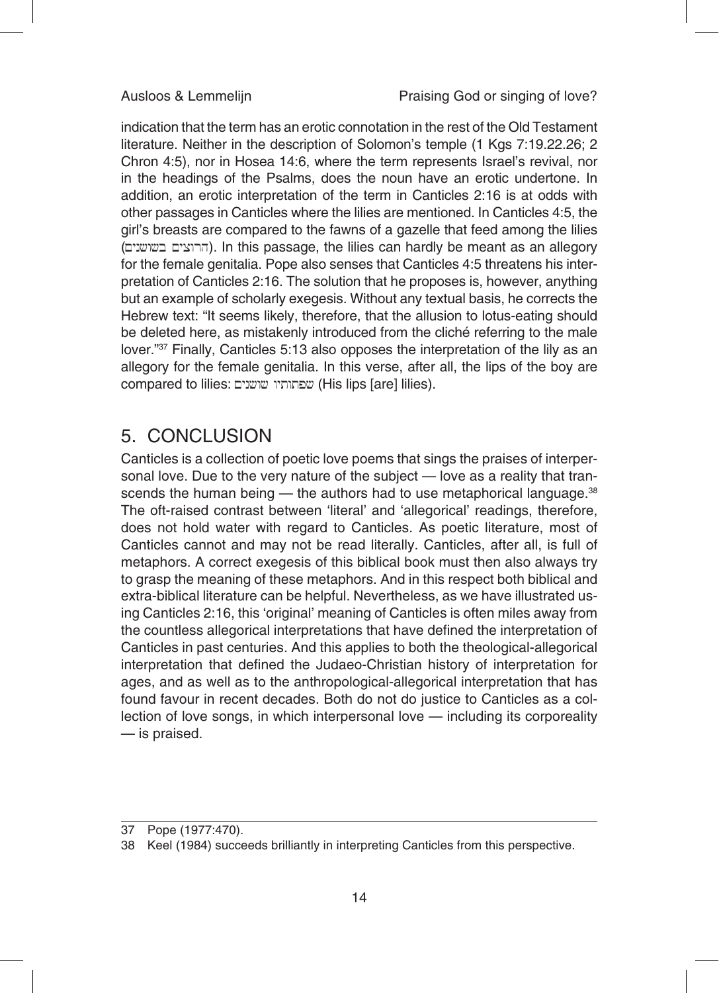indication that the term has an erotic connotation in the rest of the Old Testament literature. Neither in the description of Solomon's temple (1 Kgs 7:19.22.26; 2 Chron 4:5), nor in Hosea 14:6, where the term represents Israel's revival, nor in the headings of the Psalms, does the noun have an erotic undertone. In addition, an erotic interpretation of the term in Canticles 2:16 is at odds with other passages in Canticles where the lilies are mentioned. In Canticles 4:5, the girl's breasts are compared to the fawns of a gazelle that feed among the lilies (הרוצים בשושנים). In this passage, the lilies can hardly be meant as an allegory for the female genitalia. Pope also senses that Canticles 4:5 threatens his interpretation of Canticles 2:16. The solution that he proposes is, however, anything but an example of scholarly exegesis. Without any textual basis, he corrects the Hebrew text: "It seems likely, therefore, that the allusion to lotus-eating should be deleted here, as mistakenly introduced from the cliché referring to the male lover."37 Finally, Canticles 5:13 also opposes the interpretation of the lily as an allegory for the female genitalia. In this verse, after all, the lips of the boy are compared to lilies: שפתותיו שושנים (His lips [are] lilies).

### 5. Conclusion

Canticles is a collection of poetic love poems that sings the praises of interpersonal love. Due to the very nature of the subject — love as a reality that transcends the human being  $-$  the authors had to use metaphorical language.<sup>38</sup> The oft-raised contrast between 'literal' and 'allegorical' readings, therefore, does not hold water with regard to Canticles. As poetic literature, most of Canticles cannot and may not be read literally. Canticles, after all, is full of metaphors. A correct exegesis of this biblical book must then also always try to grasp the meaning of these metaphors. And in this respect both biblical and extra-biblical literature can be helpful. Nevertheless, as we have illustrated using Canticles 2:16, this 'original' meaning of Canticles is often miles away from the countless allegorical interpretations that have defined the interpretation of Canticles in past centuries. And this applies to both the theological-allegorical interpretation that defined the Judaeo-Christian history of interpretation for ages, and as well as to the anthropological-allegorical interpretation that has found favour in recent decades. Both do not do justice to Canticles as a collection of love songs, in which interpersonal love — including its corporeality — is praised.

<sup>37</sup> Pope (1977:470).

<sup>38</sup> Keel (1984) succeeds brilliantly in interpreting Canticles from this perspective.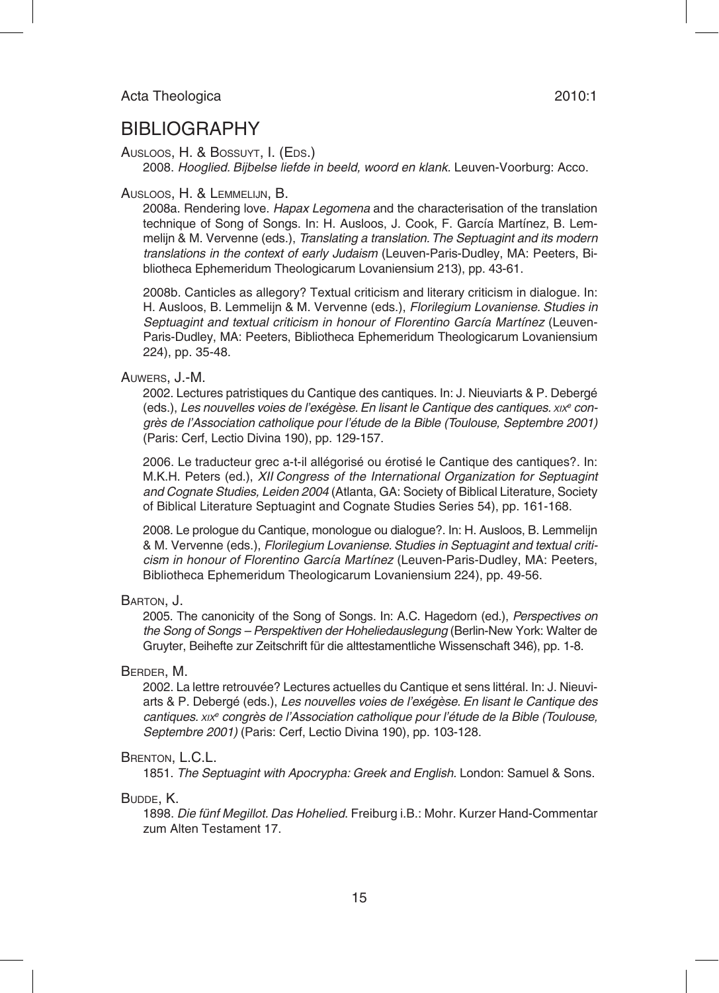### **BIBLIOGRAPHY**

Ausloos, H. & Bossuyt, I. (Eds.) 2008. *Hooglied. Bijbelse liefde in beeld, woord en klank.* Leuven-Voorburg: Acco.

#### Ausloos, H. & Lemmelijn, B.

2008a. Rendering love. *Hapax Legomena* and the characterisation of the translation technique of Song of Songs. In: H. Ausloos, J. Cook, F. García Martínez, B. Lemmelijn & M. Vervenne (eds.), *Translating a translation. The Septuagint and its modern translations in the context of early Judaism* (Leuven-Paris-Dudley, MA: Peeters, Bibliotheca Ephemeridum Theologicarum Lovaniensium 213), pp. 43-61.

2008b. Canticles as allegory? Textual criticism and literary criticism in dialogue. In: H. Ausloos, B. Lemmelijn & M. Vervenne (eds.), *Florilegium Lovaniense. Studies in Septuagint and textual criticism in honour of Florentino García Martínez* (Leuven-Paris-Dudley, MA: Peeters, Bibliotheca Ephemeridum Theologicarum Lovaniensium 224), pp. 35-48.

#### Auwers, J.-M.

2002. Lectures patristiques du Cantique des cantiques. In: J. Nieuviarts & P. Debergé (eds.), *Les nouvelles voies de l'exégèse. En lisant le Cantique des cantiques. xix<sup>e</sup> congrès de l'Association catholique pour l'étude de la Bible (Toulouse, Septembre 2001)* (Paris: Cerf, Lectio Divina 190), pp. 129-157.

2006. Le traducteur grec a-t-il allégorisé ou érotisé le Cantique des cantiques?. In: M.K.H. Peters (ed.), *XII Congress of the International Organization for Septuagint and Cognate Studies, Leiden 2004* (Atlanta, GA: Society of Biblical Literature, Society of Biblical Literature Septuagint and Cognate Studies Series 54), pp. 161-168.

2008. Le prologue du Cantique, monologue ou dialogue?. In: H. Ausloos, B. Lemmelijn & M. Vervenne (eds.), *Florilegium Lovaniense. Studies in Septuagint and textual criticism in honour of Florentino García Martínez* (Leuven-Paris-Dudley, MA: Peeters, Bibliotheca Ephemeridum Theologicarum Lovaniensium 224), pp. 49-56.

#### Barton, J.

2005. The canonicity of the Song of Songs. In: A.C. Hagedorn (ed.), *Perspectives on the Song of Songs – Perspektiven der Hoheliedauslegung* (Berlin-New York: Walter de Gruyter, Beihefte zur Zeitschrift für die alttestamentliche Wissenschaft 346), pp. 1-8.

#### Berder, M.

2002. La lettre retrouvée? Lectures actuelles du Cantique et sens littéral. In: J. Nieuviarts & P. Debergé (eds.), *Les nouvelles voies de l'exégèse. En lisant le Cantique des cantiques. xix<sup>e</sup> congrès de l'Association catholique pour l'étude de la Bible (Toulouse, Septembre 2001*) (Paris: Cerf, Lectio Divina 190), pp. 103-128.

#### Brenton, L.C.L.

1851. *The Septuagint with Apocrypha: Greek and English.* London: Samuel & Sons.

#### BUDDE, K.

1898. *Die fünf Megillot. Das Hohelied*. Freiburg i.B.: Mohr. Kurzer Hand-Commentar zum Alten Testament 17.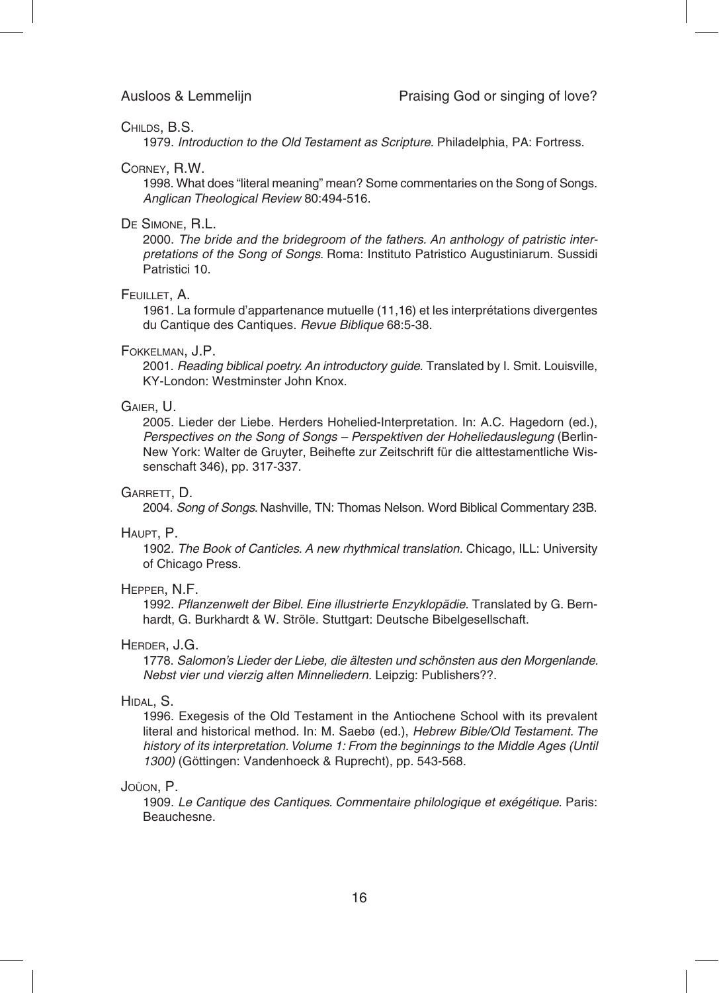#### CHILDS, B.S.

1979. *Introduction to the Old Testament as Scripture.* Philadelphia, PA: Fortress.

#### Corney, R.W.

1998. What does "literal meaning" mean? Some commentaries on the Song of Songs. Anglican Theological Review 80:494-516.

#### De Simone, R.L.

2000. *The bride and the bridegroom of the fathers. An anthology of patristic interpretations of the Song of Songs.* Roma: Instituto Patristico Augustiniarum. Sussidi Patristici 10.

#### FEUILLET. A.

1961. La formule d'appartenance mutuelle (11,16) et les interprétations divergentes du Cantique des Cantiques. Revue Biblique 68:5-38.

#### Fokkelman, J.P.

2001. *Reading biblical poetry. An introductory guide*. Translated by I. Smit. Louisville, KY-London: Westminster John Knox.

#### Gaier, U.

2005. Lieder der Liebe. Herders Hohelied-Interpretation. In: A.C. Hagedorn (ed.), *Perspectives on the Song of Songs – Perspektiven der Hoheliedauslegung* (Berlin-New York: Walter de Gruyter, Beihefte zur Zeitschrift für die alttestamentliche Wissenschaft 346), pp. 317-337.

#### GARRETT, D.

2004. *Song of Songs.* Nashville, TN: Thomas Nelson. Word Biblical Commentary 23B.

#### Haupt, P.

1902. *The Book of Canticles. A new rhythmical translation.* Chicago, ILL: University of Chicago Press.

#### Hepper, N.F.

1992. *Pflanzenwelt der Bibel. Eine illustrierte Enzyklopädie*. Translated by G. Bernhardt, G. Burkhardt & W. Ströle. Stuttgart: Deutsche Bibelgesellschaft.

#### Herder, J.G.

1778. *Salomon's Lieder der Liebe, die ältesten und schönsten aus den Morgenlande. Nebst vier und vierzig alten Minneliedern.* Leipzig: Publishers??.

#### HIDAL, S.

1996. Exegesis of the Old Testament in the Antiochene School with its prevalent literal and historical method. In: M. Saebø (ed.), *Hebrew Bible/Old Testament. The history of its interpretation. Volume 1: From the beginnings to the Middle Ages (Until*  1300) (Göttingen: Vandenhoeck & Ruprecht), pp. 543-568.

#### Joüon, P.

1909. *Le Cantique des Cantiques. Commentaire philologique et exégétique.* Paris: Beauchesne.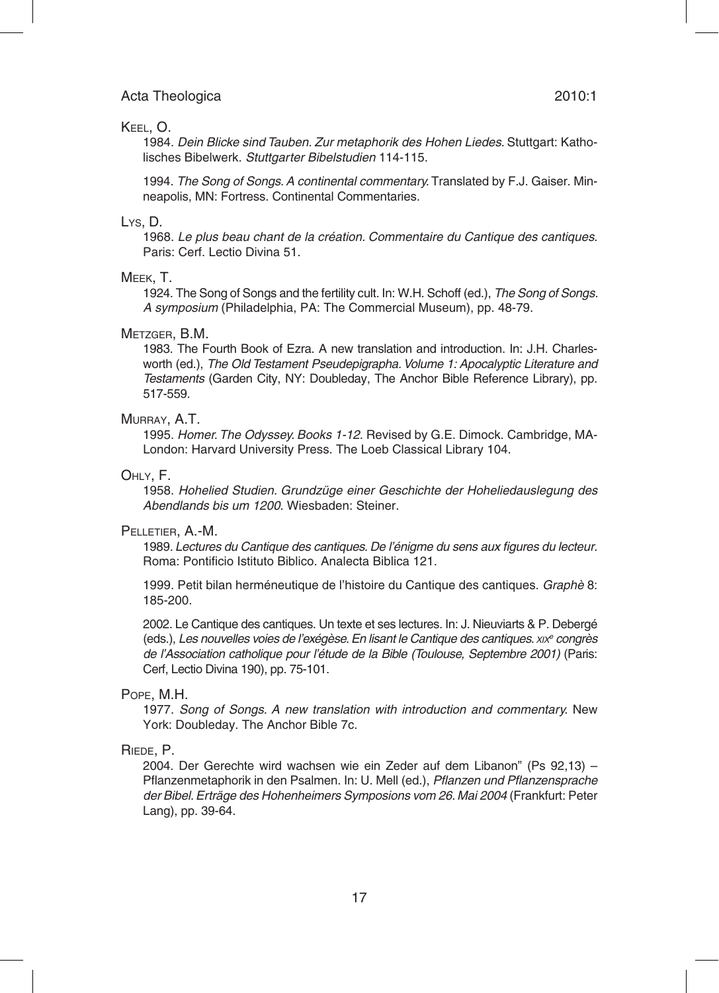#### Keel, O.

1984. *Dein Blicke sind Tauben. Zur metaphorik des Hohen Liedes.* Stuttgart: Katholisches Bibelwerk. *Stuttgarter Bibelstudien* 114-115.

1994. *The Song of Songs. A continental commentary.* Translated by F.J. Gaiser. Minneapolis, MN: Fortress. Continental Commentaries.

#### Lys, D.

1968. *Le plus beau chant de la création. Commentaire du Cantique des cantiques.* Paris: Cerf. Lectio Divina 51.

#### Meek, T.

1924. The Song of Songs and the fertility cult. In: W.H. Schoff (ed.), *The Song of Songs. A symposium* (Philadelphia, PA: The Commercial Museum), pp. 48-79.

#### Metzger, B.M.

1983. The Fourth Book of Ezra. A new translation and introduction. In: J.H. Charlesworth (ed.), *The Old Testament Pseudepigrapha. Volume 1: Apocalyptic Literature and Testaments* (Garden City, NY: Doubleday, The Anchor Bible Reference Library), pp. 517-559.

#### Murray, A.T.

1995. *Homer. The Odyssey. Books 1-12*. Revised by G.E. Dimock. Cambridge, MA-London: Harvard University Press. The Loeb Classical Library 104.

#### Ohly, F.

1958. *Hohelied Studien. Grundzüge einer Geschichte der Hoheliedauslegung des Abendlands bis um 1200.* Wiesbaden: Steiner.

#### Pelletier, A.-M.

1989*. Lectures du Cantique des cantiques. De l'énigme du sens aux figures du lecteur*. Roma: Pontificio Istituto Biblico. Analecta Biblica 121.

1999. Petit bilan herméneutique de l'histoire du Cantique des cantiques. *Graphè* 8: 185-200.

2002. Le Cantique des cantiques. Un texte et ses lectures. In: J. Nieuviarts & P. Debergé (eds.), *Les nouvelles voies de l'exégèse. En lisant le Cantique des cantiques. xix<sup>e</sup> congrès de l'Association catholique pour l'étude de la Bible (Toulouse, Septembre 2001)* (Paris: Cerf, Lectio Divina 190), pp. 75-101.

#### Pope, M.H.

1977. *Song of Songs. A new translation with introduction and commentary.* New York: Doubleday. The Anchor Bible 7c.

#### Riede, P.

2004. Der Gerechte wird wachsen wie ein Zeder auf dem Libanon" (Ps 92,13) – Pflanzenmetaphorik in den Psalmen. In: U. Mell (ed.), *Pflanzen und Pflanzensprache der Bibel. Erträge des Hohenheimers Symposions vom 26. Mai 2004* (Frankfurt: Peter Lang), pp. 39-64.